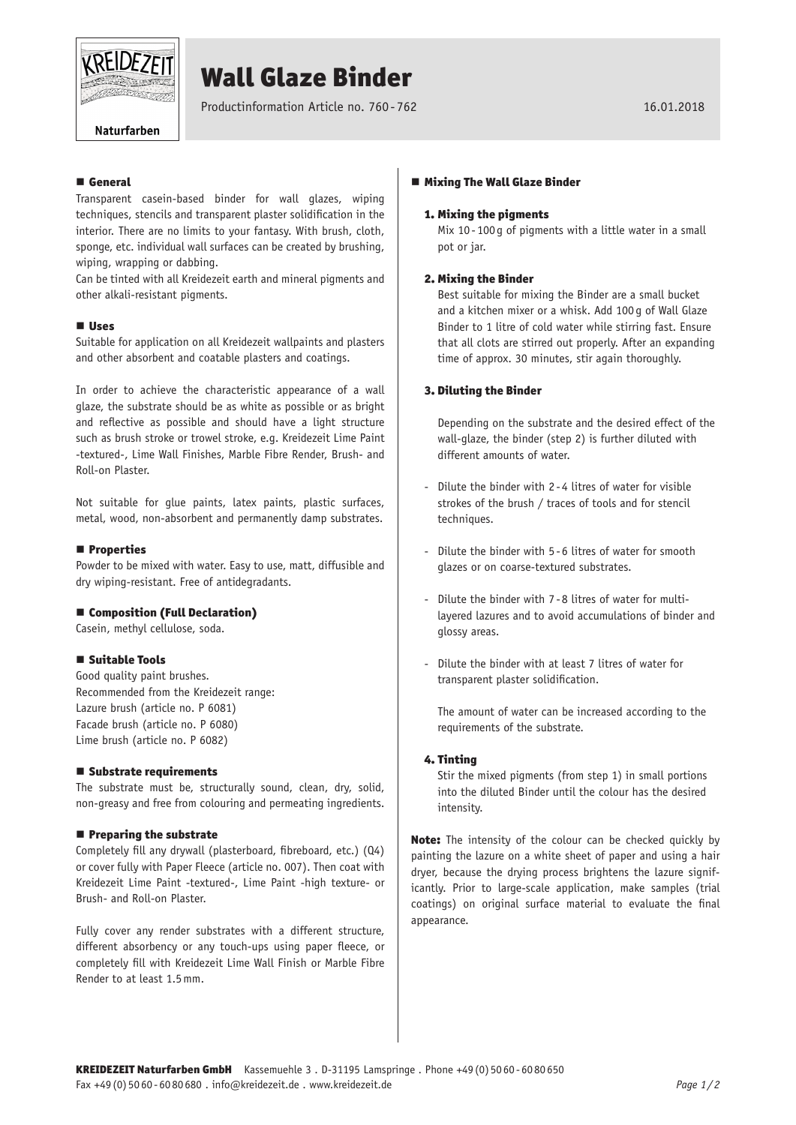

# Wall Glaze Binder

Productinformation Article no. 760-762 16.01.2018

Naturfarben

# **E** General

Transparent casein-based binder for wall glazes, wiping techniques, stencils and transparent plaster solidification in the interior. There are no limits to your fantasy. With brush, cloth, sponge, etc. individual wall surfaces can be created by brushing, wiping, wrapping or dabbing.

Can be tinted with all Kreidezeit earth and mineral pigments and other alkali-resistant pigments.

## **Uses**

Suitable for application on all Kreidezeit wallpaints and plasters and other absorbent and coatable plasters and coatings.

In order to achieve the characteristic appearance of a wall glaze, the substrate should be as white as possible or as bright and reflective as possible and should have a light structure such as brush stroke or trowel stroke, e.g. Kreidezeit Lime Paint -textured-, Lime Wall Finishes, Marble Fibre Render, Brush- and Roll-on Plaster.

Not suitable for glue paints, latex paints, plastic surfaces, metal, wood, non-absorbent and permanently damp substrates.

#### **Properties**

Powder to be mixed with water. Easy to use, matt, diffusible and dry wiping-resistant. Free of antidegradants.

#### ■ Composition (Full Declaration)

Casein, methyl cellulose, soda.

#### ■ Suitable Tools

Good quality paint brushes. Recommended from the Kreidezeit range: Lazure brush (article no. P 6081) Facade brush (article no. P 6080) Lime brush (article no. P 6082)

#### ■ Substrate requirements

The substrate must be, structurally sound, clean, dry, solid, non-greasy and free from colouring and permeating ingredients.

#### $\blacksquare$  Preparing the substrate

Completely fill any drywall (plasterboard, fibreboard, etc.) (Q4) or cover fully with Paper Fleece (article no. 007). Then coat with Kreidezeit Lime Paint -textured-, Lime Paint -high texture- or Brush- and Roll-on Plaster.

Fully cover any render substrates with a different structure, different absorbency or any touch-ups using paper fleece, or completely fill with Kreidezeit Lime Wall Finish or Marble Fibre Render to at least 1.5mm.

### ■ Mixing The Wall Glaze Binder

#### 1. Mixing the pigments

Mix 10- 100 g of pigments with a little water in a small pot or jar.

## 2. Mixing the Binder

Best suitable for mixing the Binder are a small bucket and a kitchen mixer or a whisk. Add 100 g of Wall Glaze Binder to 1 litre of cold water while stirring fast. Ensure that all clots are stirred out properly. After an expanding time of approx. 30 minutes, stir again thoroughly.

#### 3. Diluting the Binder

Depending on the substrate and the desired effect of the wall-glaze, the binder (step 2) is further diluted with different amounts of water.

- Dilute the binder with 2 -4 litres of water for visible strokes of the brush / traces of tools and for stencil techniques.
- Dilute the binder with 5 -6 litres of water for smooth glazes or on coarse-textured substrates.
- Dilute the binder with 7 -8 litres of water for multilayered lazures and to avoid accumulations of binder and glossy areas.
- Dilute the binder with at least 7 litres of water for transparent plaster solidification.

The amount of water can be increased according to the requirements of the substrate.

## 4. Tinting

Stir the mixed pigments (from step 1) in small portions into the diluted Binder until the colour has the desired intensity.

Note: The intensity of the colour can be checked quickly by painting the lazure on a white sheet of paper and using a hair dryer, because the drying process brightens the lazure significantly. Prior to large-scale application, make samples (trial coatings) on original surface material to evaluate the final appearance.